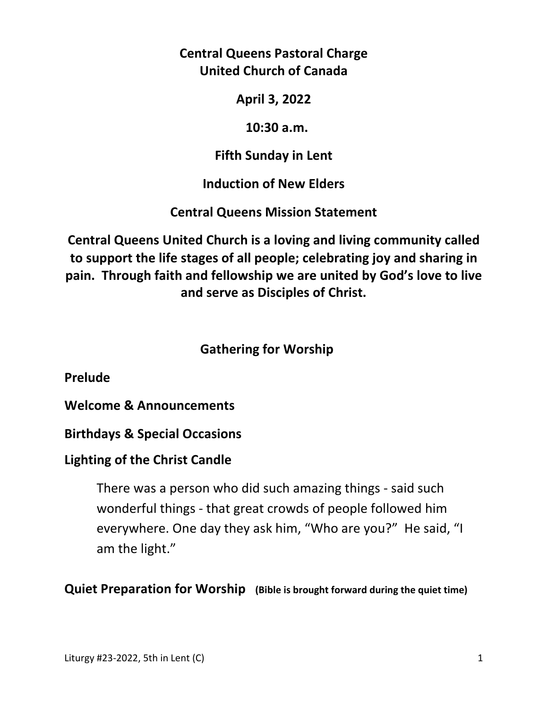**Central Queens Pastoral Charge United Church of Canada** 

**April 3, 2022** 

 **10:30 a.m.** 

**Fifth Sunday in Lent** 

**Induction of New Elders** 

**Central Queens Mission Statement** 

**Central Queens United Church is a loving and living community called to support the life stages of all people; celebrating joy and sharing in pain. Through faith and fellowship we are united by God's love to live and serve as Disciples of Christ.**

## **Gathering for Worship**

**Prelude** 

**Welcome & Announcements** 

**Birthdays & Special Occasions** 

## **Lighting of the Christ Candle**

There was a person who did such amazing things - said such wonderful things - that great crowds of people followed him everywhere. One day they ask him, "Who are you?" He said, "I am the light."

**Quiet Preparation for Worship (Bible is brought forward during the quiet time)**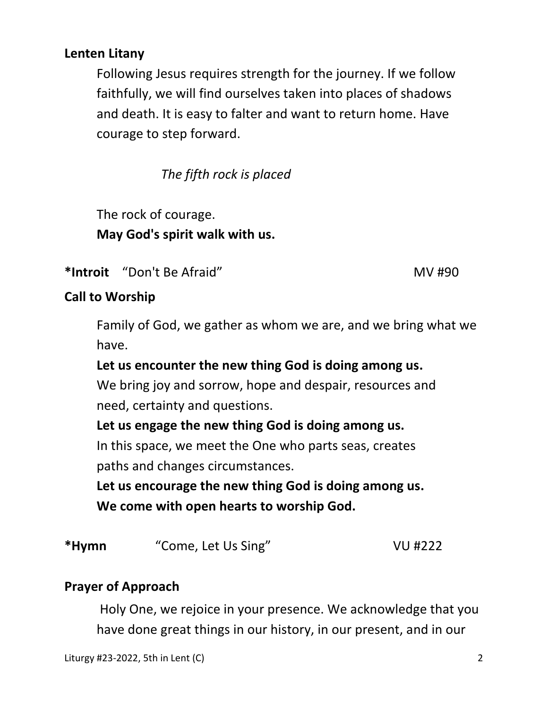## **Lenten Litany**

Following Jesus requires strength for the journey. If we follow faithfully, we will find ourselves taken into places of shadows and death. It is easy to falter and want to return home. Have courage to step forward.

*The fifth rock is placed* 

 The rock of courage.  **May God's spirit walk with us.** 

\*Introit "Don't Be Afraid" **MV** #90

## **Call to Worship**

 Family of God, we gather as whom we are, and we bring what we have.

## **Let us encounter the new thing God is doing among us.**

 We bring joy and sorrow, hope and despair, resources and need, certainty and questions.

## **Let us engage the new thing God is doing among us.**

 In this space, we meet the One who parts seas, creates paths and changes circumstances.

**Let us encourage the new thing God is doing among us. We come with open hearts to worship God.** 

| *Hymn<br>"Come, Let Us Sing" | VU #222 |
|------------------------------|---------|
|------------------------------|---------|

## **Prayer of Approach**

Holy One, we rejoice in your presence. We acknowledge that you have done great things in our history, in our present, and in our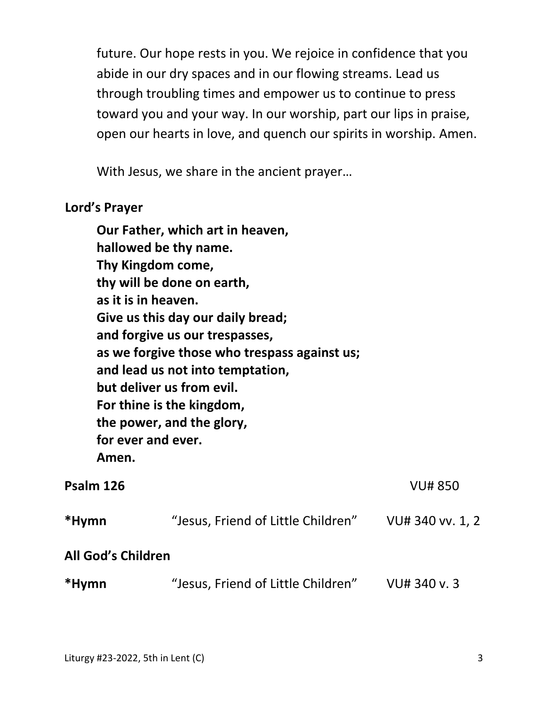future. Our hope rests in you. We rejoice in confidence that you abide in our dry spaces and in our flowing streams. Lead us through troubling times and empower us to continue to press toward you and your way. In our worship, part our lips in praise, open our hearts in love, and quench our spirits in worship. Amen.

With Jesus, we share in the ancient prayer…

#### **Lord's Prayer**

| as it is in heaven.<br>for ever and ever.<br>Amen. | Our Father, which art in heaven,<br>hallowed be thy name.<br>Thy Kingdom come,<br>thy will be done on earth,<br>Give us this day our daily bread;<br>and forgive us our trespasses,<br>as we forgive those who trespass against us;<br>and lead us not into temptation,<br>but deliver us from evil.<br>For thine is the kingdom,<br>the power, and the glory, |                  |
|----------------------------------------------------|----------------------------------------------------------------------------------------------------------------------------------------------------------------------------------------------------------------------------------------------------------------------------------------------------------------------------------------------------------------|------------------|
| Psalm 126                                          |                                                                                                                                                                                                                                                                                                                                                                | <b>VU#850</b>    |
| *Hymn                                              | "Jesus, Friend of Little Children"                                                                                                                                                                                                                                                                                                                             | VU# 340 vv. 1, 2 |
| <b>All God's Children</b>                          |                                                                                                                                                                                                                                                                                                                                                                |                  |
| *Hymn                                              | "Jesus, Friend of Little Children"                                                                                                                                                                                                                                                                                                                             | VU# 340 v.3      |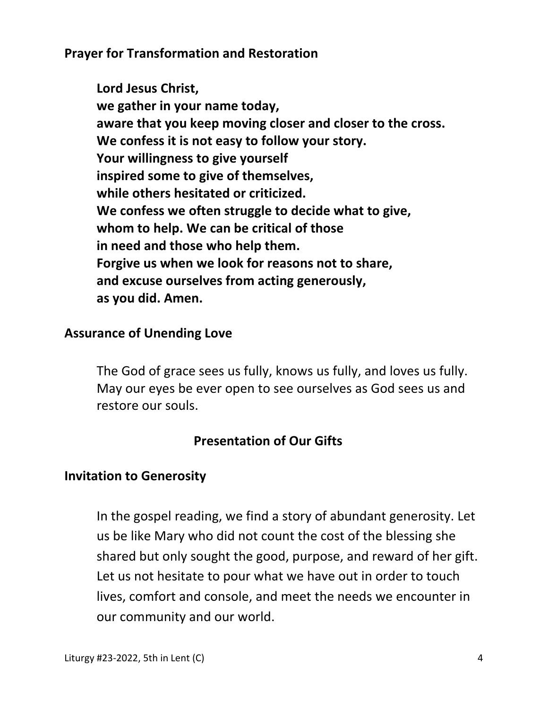**Prayer for Transformation and Restoration**

**Lord Jesus Christ, we gather in your name today, aware that you keep moving closer and closer to the cross. We confess it is not easy to follow your story. Your willingness to give yourself inspired some to give of themselves, while others hesitated or criticized. We confess we often struggle to decide what to give, whom to help. We can be critical of those in need and those who help them. Forgive us when we look for reasons not to share, and excuse ourselves from acting generously, as you did. Amen.** 

## **Assurance of Unending Love**

The God of grace sees us fully, knows us fully, and loves us fully. May our eyes be ever open to see ourselves as God sees us and restore our souls.

## **Presentation of Our Gifts**

## **Invitation to Generosity**

 In the gospel reading, we find a story of abundant generosity. Let us be like Mary who did not count the cost of the blessing she shared but only sought the good, purpose, and reward of her gift. Let us not hesitate to pour what we have out in order to touch lives, comfort and console, and meet the needs we encounter in our community and our world.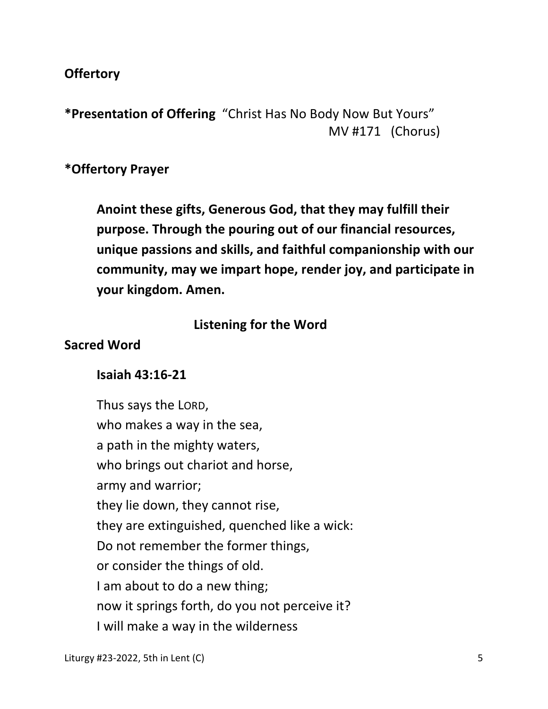## **Offertory**

**\*Presentation of Offering** "Christ Has No Body Now But Yours" MV #171 (Chorus)

#### **\*Offertory Prayer**

**Anoint these gifts, Generous God, that they may fulfill their purpose. Through the pouring out of our financial resources, unique passions and skills, and faithful companionship with our community, may we impart hope, render joy, and participate in your kingdom. Amen.** 

#### **Listening for the Word**

#### **Sacred Word**

#### **Isaiah 43:16-21**

 Thus says the LORD, who makes a way in the sea, a path in the mighty waters, who brings out chariot and horse, army and warrior; they lie down, they cannot rise, they are extinguished, quenched like a wick: Do not remember the former things, or consider the things of old. I am about to do a new thing; now it springs forth, do you not perceive it? I will make a way in the wilderness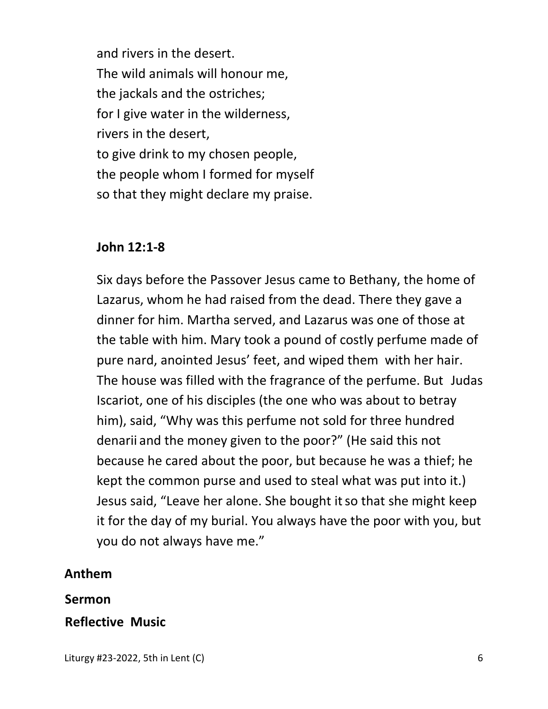and rivers in the desert. The wild animals will honour me, the jackals and the ostriches; for I give water in the wilderness, rivers in the desert, to give drink to my chosen people, the people whom I formed for myself so that they might declare my praise.

## **John 12:1-8**

Six days before the Passover Jesus came to Bethany, the home of Lazarus, whom he had raised from the dead. There they gave a dinner for him. Martha served, and Lazarus was one of those at the table with him. Mary took a pound of costly perfume made of pure nard, anointed Jesus' feet, and wiped them with her hair. The house was filled with the fragrance of the perfume. But Judas Iscariot, one of his disciples (the one who was about to betray him), said, "Why was this perfume not sold for three hundred denarii and the money given to the poor?" (He said this not because he cared about the poor, but because he was a thief; he kept the common purse and used to steal what was put into it.) Jesus said, "Leave her alone. She bought it so that she might keep it for the day of my burial. You always have the poor with you, but you do not always have me."

## **Anthem**

#### **Sermon**

## **Reflective Music**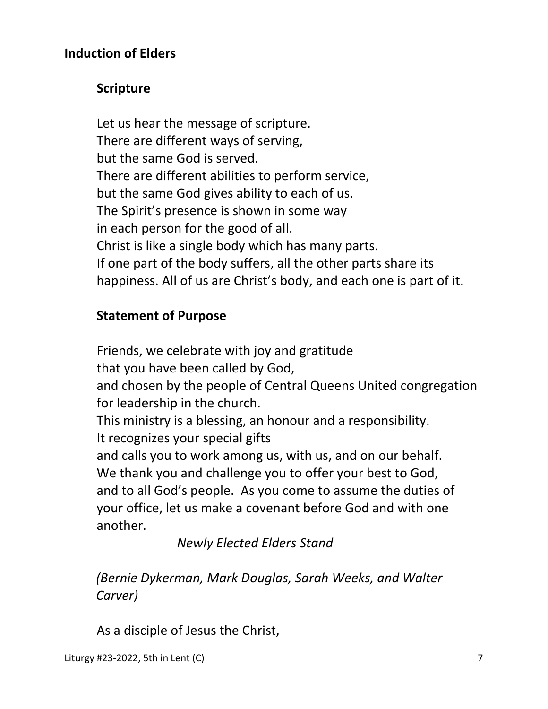## **Induction of Elders**

## **Scripture**

Let us hear the message of scripture. There are different ways of serving, but the same God is served. There are different abilities to perform service, but the same God gives ability to each of us. The Spirit's presence is shown in some way in each person for the good of all. Christ is like a single body which has many parts. If one part of the body suffers, all the other parts share its happiness. All of us are Christ's body, and each one is part of it.

## **Statement of Purpose**

Friends, we celebrate with joy and gratitude

that you have been called by God,

and chosen by the people of Central Queens United congregation for leadership in the church.

This ministry is a blessing, an honour and a responsibility. It recognizes your special gifts

and calls you to work among us, with us, and on our behalf. We thank you and challenge you to offer your best to God, and to all God's people. As you come to assume the duties of your office, let us make a covenant before God and with one another.

 *Newly Elected Elders Stand* 

*(Bernie Dykerman, Mark Douglas, Sarah Weeks, and Walter Carver)* 

As a disciple of Jesus the Christ,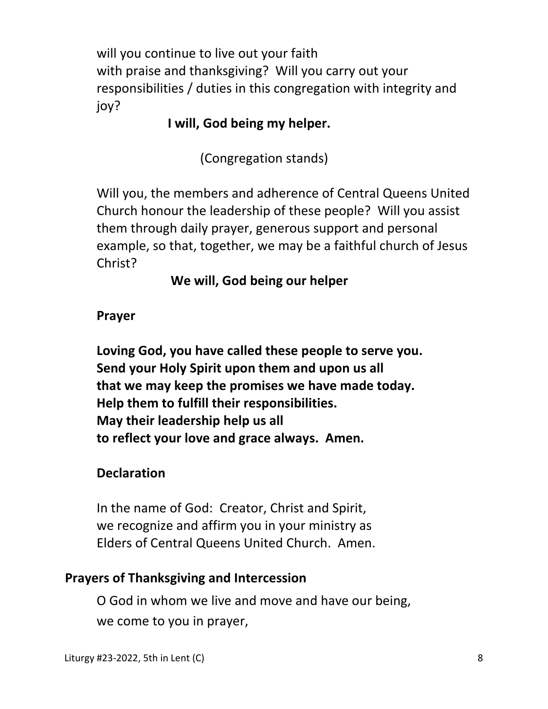will you continue to live out your faith with praise and thanksgiving? Will you carry out your responsibilities / duties in this congregation with integrity and joy?

# **I will, God being my helper.**

(Congregation stands)

Will you, the members and adherence of Central Queens United Church honour the leadership of these people? Will you assist them through daily prayer, generous support and personal example, so that, together, we may be a faithful church of Jesus Christ?

**We will, God being our helper** 

## **Prayer**

 **Loving God, you have called these people to serve you. Send your Holy Spirit upon them and upon us all that we may keep the promises we have made today. Help them to fulfill their responsibilities. May their leadership help us all to reflect your love and grace always. Amen.** 

## **Declaration**

 In the name of God: Creator, Christ and Spirit, we recognize and affirm you in your ministry as Elders of Central Queens United Church. Amen.

## **Prayers of Thanksgiving and Intercession**

 O God in whom we live and move and have our being, we come to you in prayer,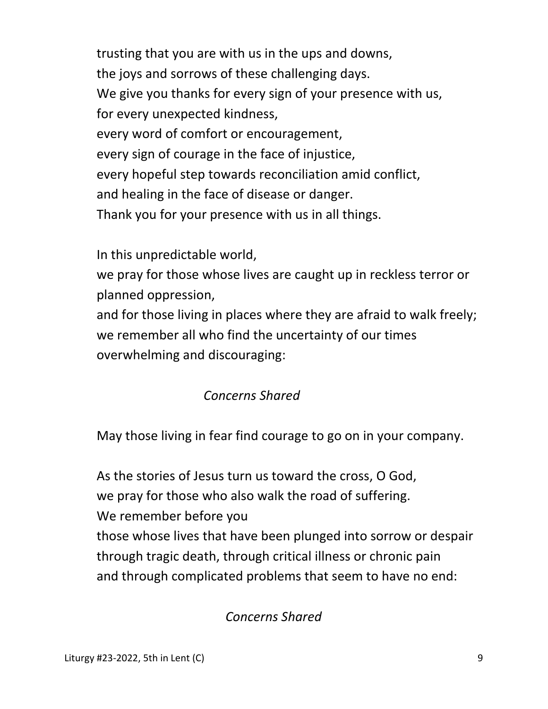trusting that you are with us in the ups and downs, the joys and sorrows of these challenging days. We give you thanks for every sign of your presence with us, for every unexpected kindness, every word of comfort or encouragement, every sign of courage in the face of injustice, every hopeful step towards reconciliation amid conflict, and healing in the face of disease or danger. Thank you for your presence with us in all things.

In this unpredictable world,

 we pray for those whose lives are caught up in reckless terror or planned oppression,

 and for those living in places where they are afraid to walk freely; we remember all who find the uncertainty of our times overwhelming and discouraging:

# *Concerns Shared*

May those living in fear find courage to go on in your company.

 As the stories of Jesus turn us toward the cross, O God, we pray for those who also walk the road of suffering. We remember before you those whose lives that have been plunged into sorrow or despair through tragic death, through critical illness or chronic pain and through complicated problems that seem to have no end:

# *Concerns Shared*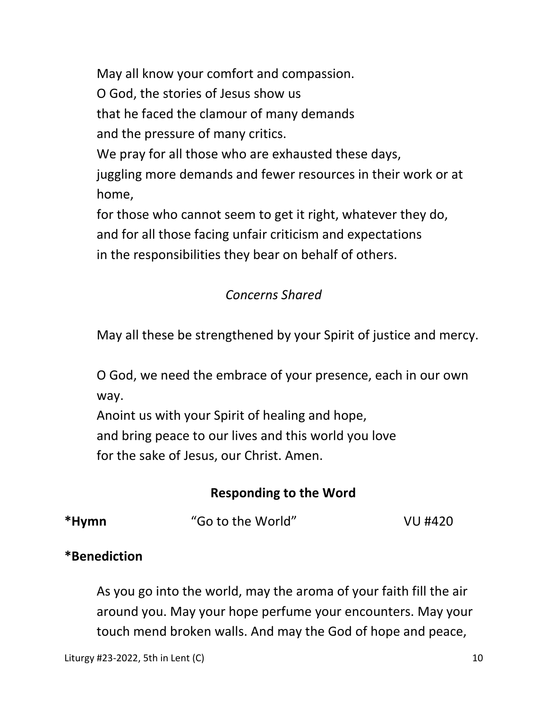May all know your comfort and compassion.

O God, the stories of Jesus show us

that he faced the clamour of many demands

and the pressure of many critics.

We pray for all those who are exhausted these days,

 juggling more demands and fewer resources in their work or at home,

 for those who cannot seem to get it right, whatever they do, and for all those facing unfair criticism and expectations in the responsibilities they bear on behalf of others.

# *Concerns Shared*

May all these be strengthened by your Spirit of justice and mercy.

 O God, we need the embrace of your presence, each in our own way.

 Anoint us with your Spirit of healing and hope, and bring peace to our lives and this world you love for the sake of Jesus, our Christ. Amen.

## **Responding to the Word**

**\*Hymn** "Go to the World" VU #420

## **\*Benediction**

 As you go into the world, may the aroma of your faith fill the air around you. May your hope perfume your encounters. May your touch mend broken walls. And may the God of hope and peace,